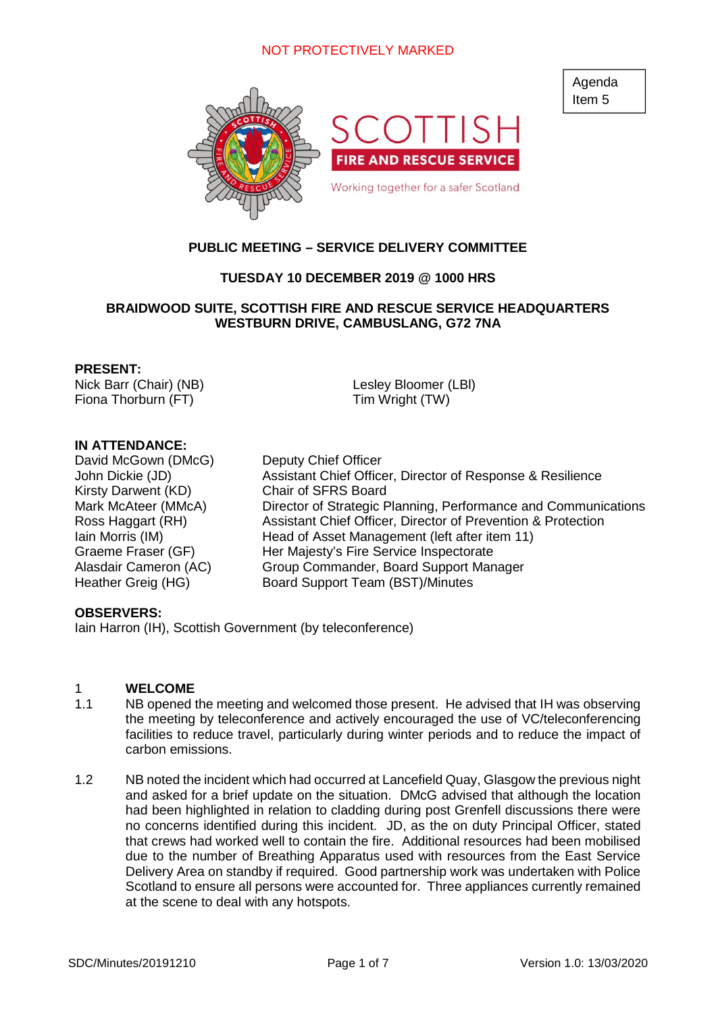

# **PUBLIC MEETING – SERVICE DELIVERY COMMITTEE**

# **TUESDAY 10 DECEMBER 2019 @ 1000 HRS**

### **BRAIDWOOD SUITE, SCOTTISH FIRE AND RESCUE SERVICE HEADQUARTERS WESTBURN DRIVE, CAMBUSLANG, G72 7NA**

#### **PRESENT:**

Nick Barr (Chair) (NB) Fiona Thorburn (FT)

Lesley Bloomer (LBl) Tim Wright (TW)

### **IN ATTENDANCE:**

David McGown (DMcG) Deputy Chief Officer Kirsty Darwent (KD) Chair of SFRS Board

John Dickie (JD) Assistant Chief Officer, Director of Response & Resilience Mark McAteer (MMcA) Director of Strategic Planning, Performance and Communications Ross Haggart (RH) Assistant Chief Officer, Director of Prevention & Protection Iain Morris (IM) Head of Asset Management (left after item 11) Graeme Fraser (GF) Her Majesty's Fire Service Inspectorate Alasdair Cameron (AC) Group Commander, Board Support Manager Heather Greig (HG) Board Support Team (BST)/Minutes

#### **OBSERVERS:**

Iain Harron (IH), Scottish Government (by teleconference)

#### 1 **WELCOME**

- 1.1 NB opened the meeting and welcomed those present. He advised that IH was observing the meeting by teleconference and actively encouraged the use of VC/teleconferencing facilities to reduce travel, particularly during winter periods and to reduce the impact of carbon emissions.
- 1.2 NB noted the incident which had occurred at Lancefield Quay, Glasgow the previous night and asked for a brief update on the situation. DMcG advised that although the location had been highlighted in relation to cladding during post Grenfell discussions there were no concerns identified during this incident. JD, as the on duty Principal Officer, stated that crews had worked well to contain the fire. Additional resources had been mobilised due to the number of Breathing Apparatus used with resources from the East Service Delivery Area on standby if required. Good partnership work was undertaken with Police Scotland to ensure all persons were accounted for. Three appliances currently remained at the scene to deal with any hotspots.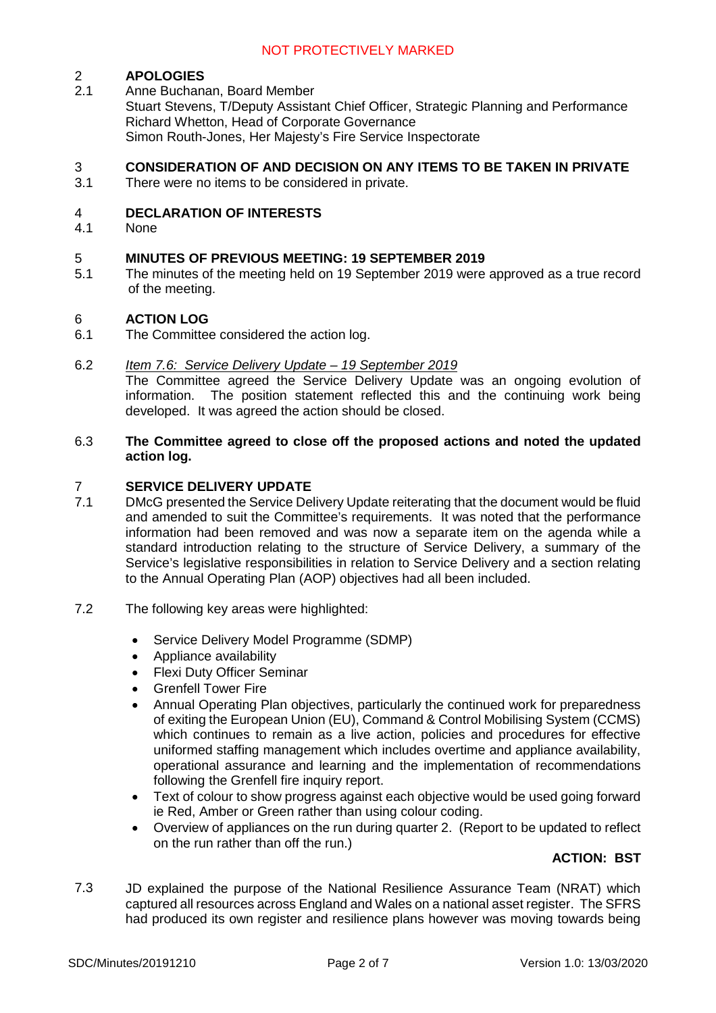# 2 **APOLOGIES**

2.1 Anne Buchanan, Board Member Stuart Stevens, T/Deputy Assistant Chief Officer, Strategic Planning and Performance Richard Whetton, Head of Corporate Governance Simon Routh-Jones, Her Majesty's Fire Service Inspectorate

# **CONSIDERATION OF AND DECISION ON ANY ITEMS TO BE TAKEN IN PRIVATE**<br>3.1 There were no items to be considered in private

There were no items to be considered in private.

### 4 **DECLARATION OF INTERESTS**

4.1 None

### 5 **MINUTES OF PREVIOUS MEETING: 19 SEPTEMBER 2019**

5.1 The minutes of the meeting held on 19 September 2019 were approved as a true record of the meeting.

### 6 **ACTION LOG**

6.1 The Committee considered the action log.

#### 6.2 *Item 7.6: Service Delivery Update – 19 September 2019*

The Committee agreed the Service Delivery Update was an ongoing evolution of information. The position statement reflected this and the continuing work being developed. It was agreed the action should be closed.

#### 6.3 **The Committee agreed to close off the proposed actions and noted the updated action log.**

### 7 **SERVICE DELIVERY UPDATE**

- 7.1 DMcG presented the Service Delivery Update reiterating that the document would be fluid and amended to suit the Committee's requirements. It was noted that the performance information had been removed and was now a separate item on the agenda while a standard introduction relating to the structure of Service Delivery, a summary of the Service's legislative responsibilities in relation to Service Delivery and a section relating to the Annual Operating Plan (AOP) objectives had all been included.
- 7.2 The following key areas were highlighted:
	- Service Delivery Model Programme (SDMP)
	- Appliance availability
	- Flexi Duty Officer Seminar
	- Grenfell Tower Fire
	- Annual Operating Plan objectives, particularly the continued work for preparedness of exiting the European Union (EU), Command & Control Mobilising System (CCMS) which continues to remain as a live action, policies and procedures for effective uniformed staffing management which includes overtime and appliance availability, operational assurance and learning and the implementation of recommendations following the Grenfell fire inquiry report.
	- Text of colour to show progress against each objective would be used going forward ie Red, Amber or Green rather than using colour coding.
	- Overview of appliances on the run during quarter 2. (Report to be updated to reflect on the run rather than off the run.)

# **ACTION: BST**

7.3 JD explained the purpose of the National Resilience Assurance Team (NRAT) which captured all resources across England and Wales on a national asset register. The SFRS had produced its own register and resilience plans however was moving towards being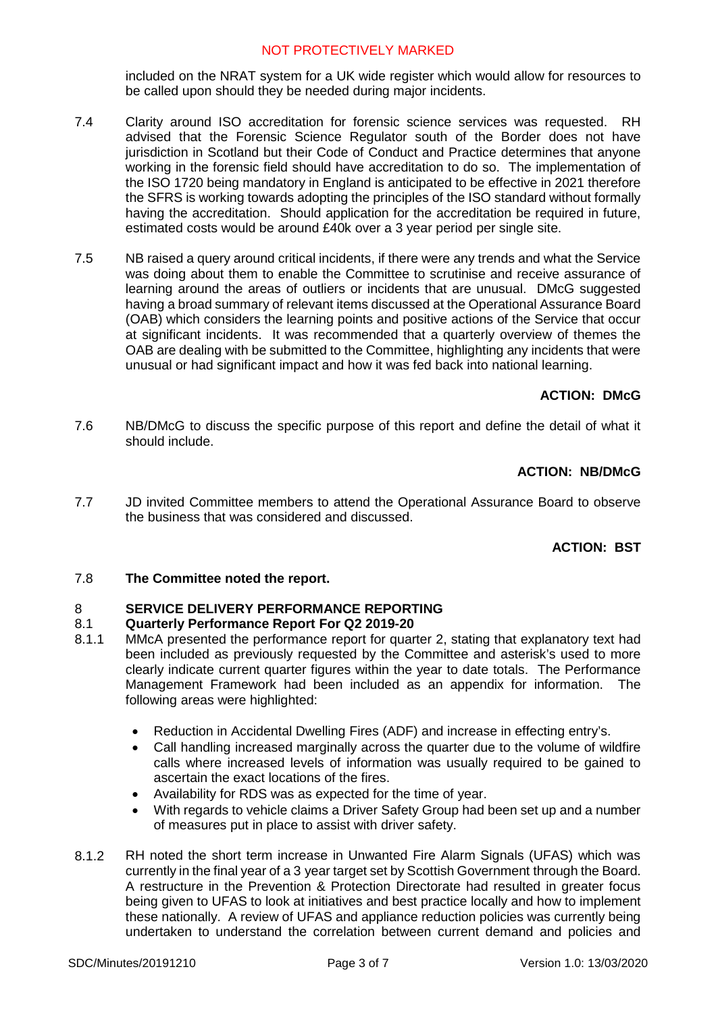included on the NRAT system for a UK wide register which would allow for resources to be called upon should they be needed during major incidents.

- 7.4 Clarity around ISO accreditation for forensic science services was requested. RH advised that the Forensic Science Regulator south of the Border does not have jurisdiction in Scotland but their Code of Conduct and Practice determines that anyone working in the forensic field should have accreditation to do so. The implementation of the ISO 1720 being mandatory in England is anticipated to be effective in 2021 therefore the SFRS is working towards adopting the principles of the ISO standard without formally having the accreditation. Should application for the accreditation be required in future, estimated costs would be around £40k over a 3 year period per single site.
- 7.5 NB raised a query around critical incidents, if there were any trends and what the Service was doing about them to enable the Committee to scrutinise and receive assurance of learning around the areas of outliers or incidents that are unusual. DMcG suggested having a broad summary of relevant items discussed at the Operational Assurance Board (OAB) which considers the learning points and positive actions of the Service that occur at significant incidents. It was recommended that a quarterly overview of themes the OAB are dealing with be submitted to the Committee, highlighting any incidents that were unusual or had significant impact and how it was fed back into national learning.

# **ACTION: DMcG**

7.6 NB/DMcG to discuss the specific purpose of this report and define the detail of what it should include.

# **ACTION: NB/DMcG**

7.7 JD invited Committee members to attend the Operational Assurance Board to observe the business that was considered and discussed.

# **ACTION: BST**

#### 7.8 **The Committee noted the report.**

#### 8 **SERVICE DELIVERY PERFORMANCE REPORTING**

#### 8.1 **Quarterly Performance Report For Q2 2019-20**

- 8.1.1 MMcA presented the performance report for quarter 2, stating that explanatory text had been included as previously requested by the Committee and asterisk's used to more clearly indicate current quarter figures within the year to date totals. The Performance Management Framework had been included as an appendix for information. The following areas were highlighted:
	- Reduction in Accidental Dwelling Fires (ADF) and increase in effecting entry's.
	- Call handling increased marginally across the quarter due to the volume of wildfire calls where increased levels of information was usually required to be gained to ascertain the exact locations of the fires.
	- Availability for RDS was as expected for the time of year.
	- With regards to vehicle claims a Driver Safety Group had been set up and a number of measures put in place to assist with driver safety.
- 8.1.2 RH noted the short term increase in Unwanted Fire Alarm Signals (UFAS) which was currently in the final year of a 3 year target set by Scottish Government through the Board. A restructure in the Prevention & Protection Directorate had resulted in greater focus being given to UFAS to look at initiatives and best practice locally and how to implement these nationally. A review of UFAS and appliance reduction policies was currently being undertaken to understand the correlation between current demand and policies and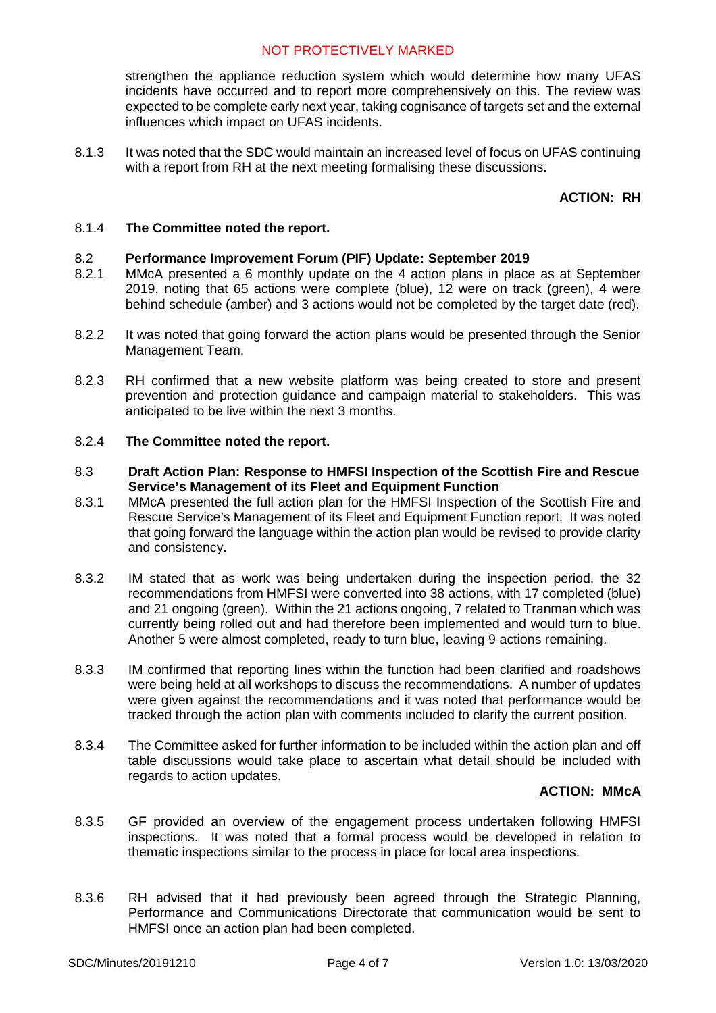strengthen the appliance reduction system which would determine how many UFAS incidents have occurred and to report more comprehensively on this. The review was expected to be complete early next year, taking cognisance of targets set and the external influences which impact on UFAS incidents.

8.1.3 It was noted that the SDC would maintain an increased level of focus on UFAS continuing with a report from RH at the next meeting formalising these discussions.

### **ACTION: RH**

#### 8.1.4 **The Committee noted the report.**

### 8.2 **Performance Improvement Forum (PIF) Update: September 2019**

- 8.2.1 MMcA presented a 6 monthly update on the 4 action plans in place as at September 2019, noting that 65 actions were complete (blue), 12 were on track (green), 4 were behind schedule (amber) and 3 actions would not be completed by the target date (red).
- 8.2.2 It was noted that going forward the action plans would be presented through the Senior Management Team.
- 8.2.3 RH confirmed that a new website platform was being created to store and present prevention and protection guidance and campaign material to stakeholders. This was anticipated to be live within the next 3 months.

#### 8.2.4 **The Committee noted the report.**

- 8.3 **Draft Action Plan: Response to HMFSI Inspection of the Scottish Fire and Rescue Service's Management of its Fleet and Equipment Function**
- 8.3.1 MMcA presented the full action plan for the HMFSI Inspection of the Scottish Fire and Rescue Service's Management of its Fleet and Equipment Function report. It was noted that going forward the language within the action plan would be revised to provide clarity and consistency.
- 8.3.2 IM stated that as work was being undertaken during the inspection period, the 32 recommendations from HMFSI were converted into 38 actions, with 17 completed (blue) and 21 ongoing (green). Within the 21 actions ongoing, 7 related to Tranman which was currently being rolled out and had therefore been implemented and would turn to blue. Another 5 were almost completed, ready to turn blue, leaving 9 actions remaining.
- 8.3.3 IM confirmed that reporting lines within the function had been clarified and roadshows were being held at all workshops to discuss the recommendations. A number of updates were given against the recommendations and it was noted that performance would be tracked through the action plan with comments included to clarify the current position.
- 8.3.4 The Committee asked for further information to be included within the action plan and off table discussions would take place to ascertain what detail should be included with regards to action updates.

#### **ACTION: MMcA**

- 8.3.5 GF provided an overview of the engagement process undertaken following HMFSI inspections. It was noted that a formal process would be developed in relation to thematic inspections similar to the process in place for local area inspections.
- 8.3.6 RH advised that it had previously been agreed through the Strategic Planning, Performance and Communications Directorate that communication would be sent to HMFSI once an action plan had been completed.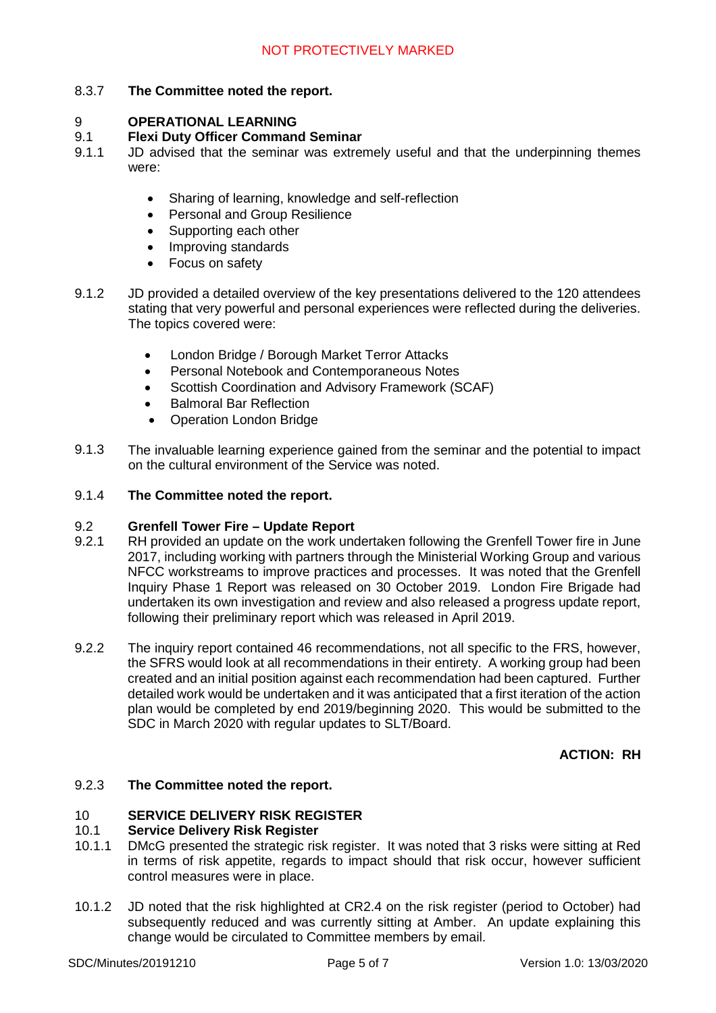### 8.3.7 **The Committee noted the report.**

#### 9 **OPERATIONAL LEARNING**

#### 9.1 **Flexi Duty Officer Command Seminar**

- 9.1.1 JD advised that the seminar was extremely useful and that the underpinning themes were:
	- Sharing of learning, knowledge and self-reflection
	- Personal and Group Resilience
	- Supporting each other
	- Improving standards
	- Focus on safety
- 9.1.2 JD provided a detailed overview of the key presentations delivered to the 120 attendees stating that very powerful and personal experiences were reflected during the deliveries. The topics covered were:
	- London Bridge / Borough Market Terror Attacks
	- Personal Notebook and Contemporaneous Notes
	- Scottish Coordination and Advisory Framework (SCAF)
	- Balmoral Bar Reflection
	- Operation London Bridge
- 9.1.3 The invaluable learning experience gained from the seminar and the potential to impact on the cultural environment of the Service was noted.

#### 9.1.4 **The Committee noted the report.**

#### 9.2 **Grenfell Tower Fire – Update Report**

- 9.2.1 RH provided an update on the work undertaken following the Grenfell Tower fire in June 2017, including working with partners through the Ministerial Working Group and various NFCC workstreams to improve practices and processes. It was noted that the Grenfell Inquiry Phase 1 Report was released on 30 October 2019. London Fire Brigade had undertaken its own investigation and review and also released a progress update report, following their preliminary report which was released in April 2019.
- 9.2.2 The inquiry report contained 46 recommendations, not all specific to the FRS, however, the SFRS would look at all recommendations in their entirety. A working group had been created and an initial position against each recommendation had been captured. Further detailed work would be undertaken and it was anticipated that a first iteration of the action plan would be completed by end 2019/beginning 2020. This would be submitted to the SDC in March 2020 with regular updates to SLT/Board.

#### **ACTION: RH**

#### 9.2.3 **The Committee noted the report.**

# 10 **SERVICE DELIVERY RISK REGISTER**

#### 10.1 **Service Delivery Risk Register**

- 10.1.1 DMcG presented the strategic risk register. It was noted that 3 risks were sitting at Red in terms of risk appetite, regards to impact should that risk occur, however sufficient control measures were in place.
- 10.1.2 JD noted that the risk highlighted at CR2.4 on the risk register (period to October) had subsequently reduced and was currently sitting at Amber. An update explaining this change would be circulated to Committee members by email.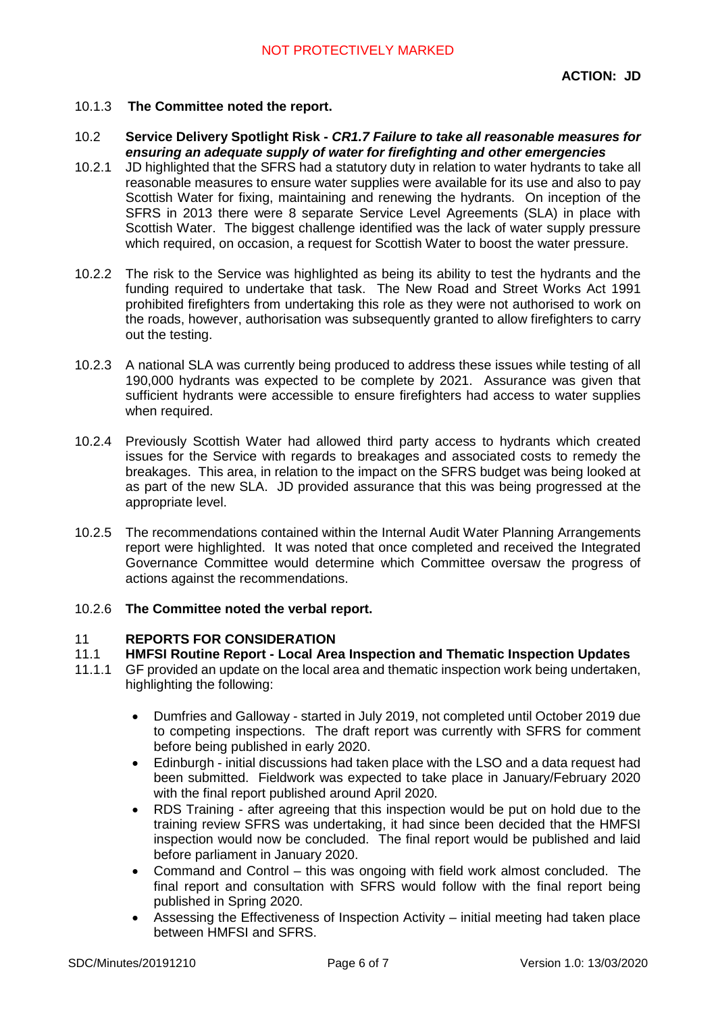- 10.1.3 **The Committee noted the report.**
- 10.2 **Service Delivery Spotlight Risk -** *CR1.7 Failure to take all reasonable measures for ensuring an adequate supply of water for firefighting and other emergencies*
- 10.2.1 JD highlighted that the SFRS had a statutory duty in relation to water hydrants to take all reasonable measures to ensure water supplies were available for its use and also to pay Scottish Water for fixing, maintaining and renewing the hydrants. On inception of the SFRS in 2013 there were 8 separate Service Level Agreements (SLA) in place with Scottish Water. The biggest challenge identified was the lack of water supply pressure which required, on occasion, a request for Scottish Water to boost the water pressure.
- 10.2.2 The risk to the Service was highlighted as being its ability to test the hydrants and the funding required to undertake that task. The New Road and Street Works Act 1991 prohibited firefighters from undertaking this role as they were not authorised to work on the roads, however, authorisation was subsequently granted to allow firefighters to carry out the testing.
- 10.2.3 A national SLA was currently being produced to address these issues while testing of all 190,000 hydrants was expected to be complete by 2021. Assurance was given that sufficient hydrants were accessible to ensure firefighters had access to water supplies when required.
- 10.2.4 Previously Scottish Water had allowed third party access to hydrants which created issues for the Service with regards to breakages and associated costs to remedy the breakages. This area, in relation to the impact on the SFRS budget was being looked at as part of the new SLA. JD provided assurance that this was being progressed at the appropriate level.
- 10.2.5 The recommendations contained within the Internal Audit Water Planning Arrangements report were highlighted. It was noted that once completed and received the Integrated Governance Committee would determine which Committee oversaw the progress of actions against the recommendations.
- 10.2.6 **The Committee noted the verbal report.**

# 11 **REPORTS FOR CONSIDERATION**

- 11.1 **HMFSI Routine Report - Local Area Inspection and Thematic Inspection Updates**
- 11.1.1 GF provided an update on the local area and thematic inspection work being undertaken, highlighting the following:
	- Dumfries and Galloway started in July 2019, not completed until October 2019 due to competing inspections. The draft report was currently with SFRS for comment before being published in early 2020.
	- Edinburgh initial discussions had taken place with the LSO and a data request had been submitted. Fieldwork was expected to take place in January/February 2020 with the final report published around April 2020.
	- RDS Training after agreeing that this inspection would be put on hold due to the training review SFRS was undertaking, it had since been decided that the HMFSI inspection would now be concluded. The final report would be published and laid before parliament in January 2020.
	- Command and Control this was ongoing with field work almost concluded. The final report and consultation with SFRS would follow with the final report being published in Spring 2020.
	- Assessing the Effectiveness of Inspection Activity initial meeting had taken place between HMFSI and SFRS.